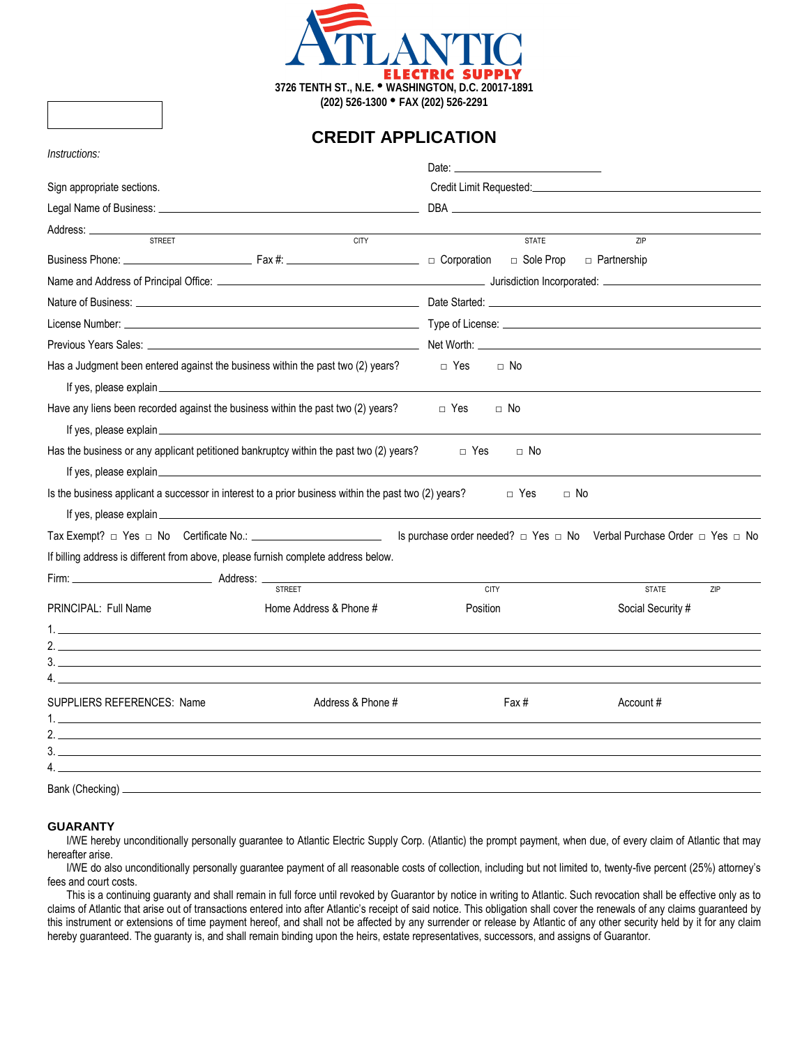

**CREDIT APPLICATION**

| Instructions:                                                                                                                                                                                                                        |                        | Date: the contract of the contract of the contract of the contract of the contract of the contract of the contract of the contract of the contract of the contract of the contract of the contract of the contract of the cont |                     |  |  |
|--------------------------------------------------------------------------------------------------------------------------------------------------------------------------------------------------------------------------------------|------------------------|--------------------------------------------------------------------------------------------------------------------------------------------------------------------------------------------------------------------------------|---------------------|--|--|
| Sign appropriate sections.                                                                                                                                                                                                           |                        | Credit Limit Requested: Credit Limit Requested:                                                                                                                                                                                |                     |  |  |
|                                                                                                                                                                                                                                      |                        |                                                                                                                                                                                                                                |                     |  |  |
|                                                                                                                                                                                                                                      |                        |                                                                                                                                                                                                                                |                     |  |  |
| <b>STREET</b>                                                                                                                                                                                                                        | <b>CITY</b>            | <b>STATE</b>                                                                                                                                                                                                                   | ZIP                 |  |  |
|                                                                                                                                                                                                                                      |                        |                                                                                                                                                                                                                                |                     |  |  |
|                                                                                                                                                                                                                                      |                        |                                                                                                                                                                                                                                |                     |  |  |
| Nature of Business: <u>example and the set of the set of the set of the set of the set of the set of the set of the set of the set of the set of the set of the set of the set of the set of the set of the set of the set of th</u> |                        |                                                                                                                                                                                                                                |                     |  |  |
|                                                                                                                                                                                                                                      |                        |                                                                                                                                                                                                                                |                     |  |  |
|                                                                                                                                                                                                                                      |                        |                                                                                                                                                                                                                                |                     |  |  |
| Has a Judgment been entered against the business within the past two (2) years?                                                                                                                                                      |                        | □ Yes<br>$\Box$ No                                                                                                                                                                                                             |                     |  |  |
| If yes, please explain explain explain and the set of the set of the set of the set of the set of the set of the set of the set of the set of the set of the set of the set of the set of the set of the set of the set of the       |                        |                                                                                                                                                                                                                                |                     |  |  |
| Have any liens been recorded against the business within the past two (2) years?                                                                                                                                                     |                        | □ Yes<br>$\Box$ No                                                                                                                                                                                                             |                     |  |  |
|                                                                                                                                                                                                                                      |                        |                                                                                                                                                                                                                                |                     |  |  |
| Has the business or any applicant petitioned bankruptcy within the past two (2) years?                                                                                                                                               |                        | $\Box$ Yes<br>$\Box$ No                                                                                                                                                                                                        |                     |  |  |
|                                                                                                                                                                                                                                      |                        |                                                                                                                                                                                                                                |                     |  |  |
| Is the business applicant a successor in interest to a prior business within the past two (2) years?                                                                                                                                 |                        | □ Yes<br>$\Box$ No                                                                                                                                                                                                             |                     |  |  |
| If yes, please explain explaint the state of the state of the state of the state of the state of the state of the state of the state of the state of the state of the state of the state of the state of the state of the stat       |                        |                                                                                                                                                                                                                                |                     |  |  |
|                                                                                                                                                                                                                                      |                        | Is purchase order needed? $\Box$ Yes $\Box$ No Verbal Purchase Order $\Box$ Yes $\Box$ No                                                                                                                                      |                     |  |  |
| If billing address is different from above, please furnish complete address below.                                                                                                                                                   |                        |                                                                                                                                                                                                                                |                     |  |  |
|                                                                                                                                                                                                                                      | <b>STREET</b>          | <b>CITY</b>                                                                                                                                                                                                                    | <b>STATE</b><br>ZIP |  |  |
| PRINCIPAL: Full Name                                                                                                                                                                                                                 | Home Address & Phone # | Position                                                                                                                                                                                                                       | Social Security #   |  |  |
| 1.                                                                                                                                                                                                                                   |                        |                                                                                                                                                                                                                                |                     |  |  |
| $\sqrt{2}$                                                                                                                                                                                                                           |                        |                                                                                                                                                                                                                                |                     |  |  |
|                                                                                                                                                                                                                                      |                        |                                                                                                                                                                                                                                |                     |  |  |
|                                                                                                                                                                                                                                      |                        |                                                                                                                                                                                                                                |                     |  |  |
| <b>SUPPLIERS REFERENCES: Name</b>                                                                                                                                                                                                    | Address & Phone #      | Fax #                                                                                                                                                                                                                          | Account #           |  |  |
|                                                                                                                                                                                                                                      |                        |                                                                                                                                                                                                                                |                     |  |  |
| 3.                                                                                                                                                                                                                                   |                        |                                                                                                                                                                                                                                |                     |  |  |
|                                                                                                                                                                                                                                      |                        |                                                                                                                                                                                                                                |                     |  |  |
| Bank (Checking) _                                                                                                                                                                                                                    |                        |                                                                                                                                                                                                                                |                     |  |  |

## **GUARANTY**

I/WE hereby unconditionally personally guarantee to Atlantic Electric Supply Corp. (Atlantic) the prompt payment, when due, of every claim of Atlantic that may hereafter arise.

I/WE do also unconditionally personally guarantee payment of all reasonable costs of collection, including but not limited to, twenty-five percent (25%) attorney's fees and court costs.

This is a continuing guaranty and shall remain in full force until revoked by Guarantor by notice in writing to Atlantic. Such revocation shall be effective only as to claims of Atlantic that arise out of transactions entered into after Atlantic's receipt of said notice. This obligation shall cover the renewals of any claims guaranteed by this instrument or extensions of time payment hereof, and shall not be affected by any surrender or release by Atlantic of any other security held by it for any claim hereby guaranteed. The guaranty is, and shall remain binding upon the heirs, estate representatives, successors, and assigns of Guarantor.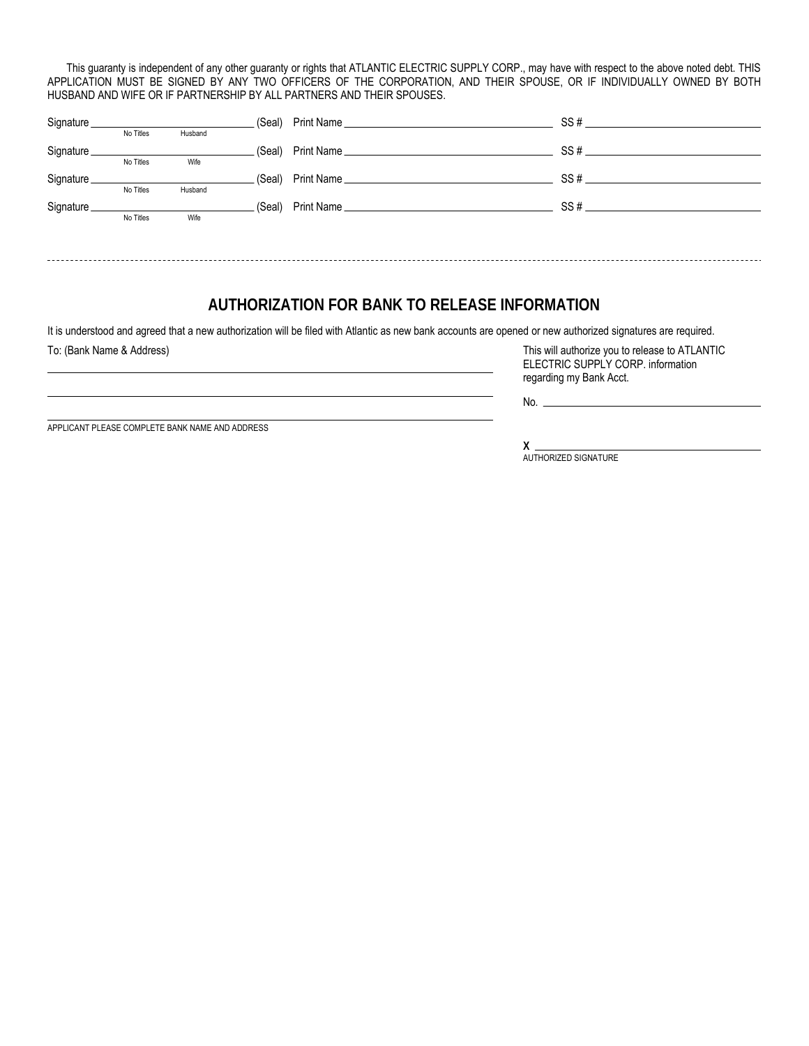This guaranty is independent of any other guaranty or rights that ATLANTIC ELECTRIC SUPPLY CORP., may have with respect to the above noted debt. THIS APPLICATION MUST BE SIGNED BY ANY TWO OFFICERS OF THE CORPORATION, AND THEIR SPOUSE, OR IF INDIVIDUALLY OWNED BY BOTH HUSBAND AND WIFE OR IF PARTNERSHIP BY ALL PARTNERS AND THEIR SPOUSES.

|            |           |         | (Seal) | SS# |
|------------|-----------|---------|--------|-----|
|            | No Titles | Husband |        |     |
| Signature. |           |         | (Seal) |     |
|            | No Titles | Wife    |        |     |
| Signature_ |           |         |        |     |
|            | No Titles | Husband |        |     |
| Signature. |           |         | (Seal) | SS# |
|            | No Titles | Wife    |        |     |
|            |           |         |        |     |
|            |           |         |        |     |

## **AUTHORIZATION FOR BANK TO RELEASE INFORMATION**

It is understood and agreed that a new authorization will be filed with Atlantic as new bank accounts are opened or new authorized signatures are required.

To: (Bank Name & Address) This will authorize you to release to ATLANTIC ELECTRIC SUPPLY CORP. information regarding my Bank Acct.

no. In the contract of the contract of the contract of the contract of the contract of the contract of the contract of the contract of the contract of the contract of the contract of the contract of the contract of the con

APPLICANT PLEASE COMPLETE BANK NAME AND ADDRESS

**X** AUTHORIZED SIGNATURE